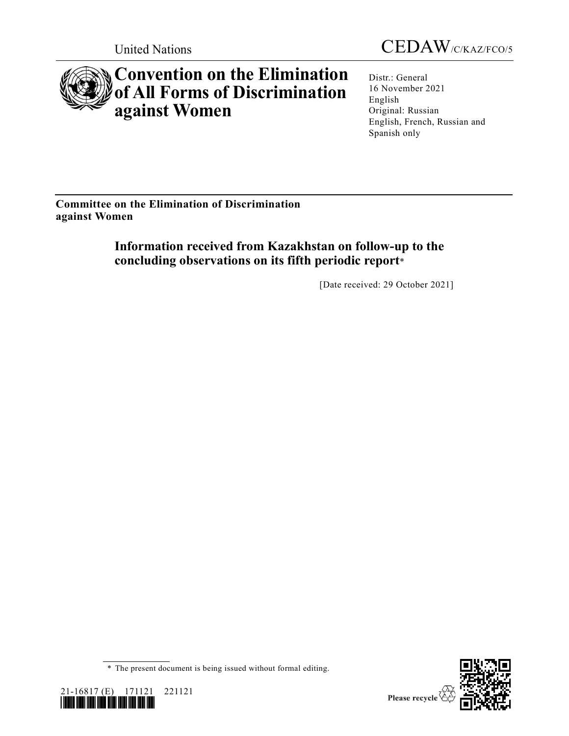



# **Convention on the Elimination of All Forms of Discrimination against Women**

Distr.: General 16 November 2021 English Original: Russian English, French, Russian and Spanish only

**Committee on the Elimination of Discrimination against Women**

> **Information received from Kazakhstan on follow-up to the concluding observations on its fifth periodic report**\*

> > [Date received: 29 October 2021]

<sup>\*</sup> The present document is being issued without formal editing.



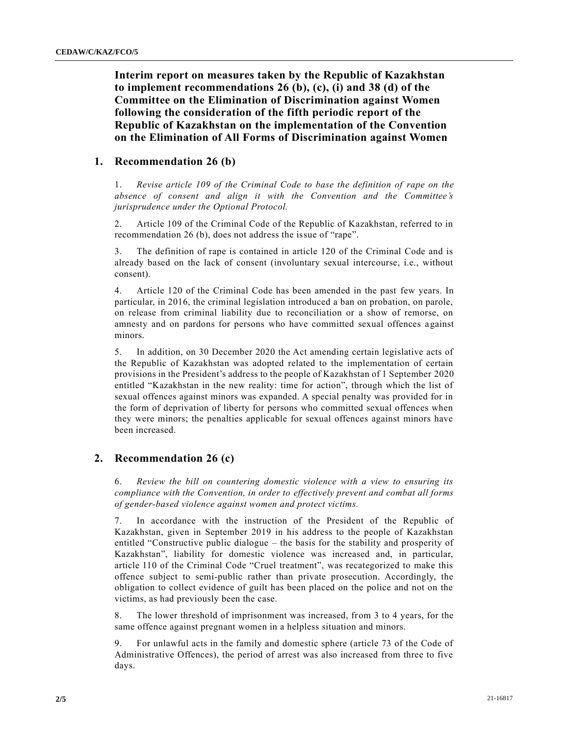**Interim report on measures taken by the Republic of Kazakhstan to implement recommendations 26 (b), (c), (i) and 38 (d) of the Committee on the Elimination of Discrimination against Women following the consideration of the fifth periodic report of the Republic of Kazakhstan on the implementation of the Convention on the Elimination of All Forms of Discrimination against Women**

### **1. Recommendation 26 (b)**

1. *Revise article 109 of the Criminal Code to base the definition of rape on the absence of consent and align it with the Convention and the Committee's jurisprudence under the Optional Protocol.*

2. Article 109 of the Criminal Code of the Republic of Kazakhstan, referred to in recommendation 26 (b), does not address the issue of "rape".

3. The definition of rape is contained in article 120 of the Criminal Code and is already based on the lack of consent (involuntary sexual intercourse, i.e., without consent).

4. Article 120 of the Criminal Code has been amended in the past few years. In particular, in 2016, the criminal legislation introduced a ban on probation, on parole, on release from criminal liability due to reconciliation or a show of remorse, on amnesty and on pardons for persons who have committed sexual offences against minors.

5. In addition, on 30 December 2020 the Act amending certain legislative acts of the Republic of Kazakhstan was adopted related to the implementation of certain provisions in the President's address to the people of Kazakhstan of 1 September 2020 entitled "Kazakhstan in the new reality: time for action", through which the list of sexual offences against minors was expanded. A special penalty was provided for in the form of deprivation of liberty for persons who committed sexual offences when they were minors; the penalties applicable for sexual offences against minors have been increased.

## **2. Recommendation 26 (c)**

6. *Review the bill on countering domestic violence with a view to ensuring its compliance with the Convention, in order to effectively prevent and combat all forms of gender-based violence against women and protect victims.*

7. In accordance with the instruction of the President of the Republic of Kazakhstan, given in September 2019 in his address to the people of Kazakhstan entitled "Constructive public dialogue – the basis for the stability and prosperity of Kazakhstan", liability for domestic violence was increased and, in particular, article 110 of the Criminal Code "Cruel treatment", was recategorized to make this offence subject to semi-public rather than private prosecution. Accordingly, the obligation to collect evidence of guilt has been placed on the police and not on the victims, as had previously been the case.

8. The lower threshold of imprisonment was increased, from 3 to 4 years, for the same offence against pregnant women in a helpless situation and minors.

9. For unlawful acts in the family and domestic sphere (article 73 of the Code of Administrative Offences), the period of arrest was also increased from three to five days.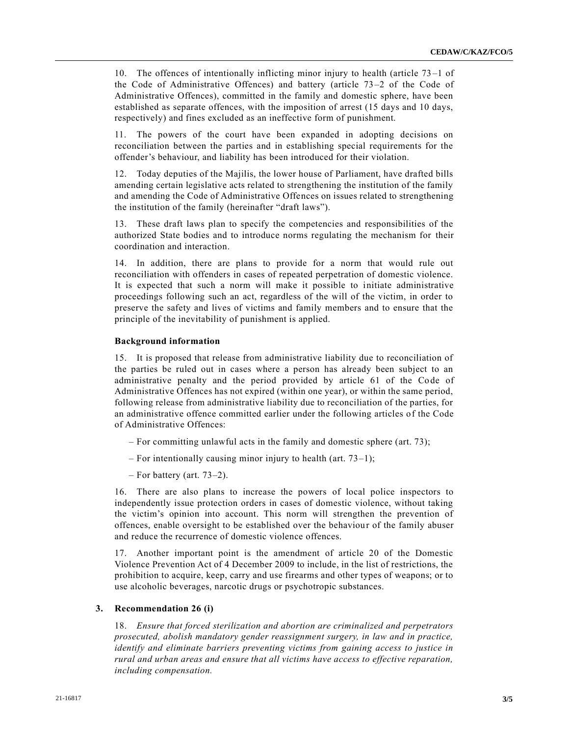10. The offences of intentionally inflicting minor injury to health (article 73 –1 of the Code of Administrative Offences) and battery (article 73–2 of the Code of Administrative Offences), committed in the family and domestic sphere, have been established as separate offences, with the imposition of arrest (15 days and 10 days, respectively) and fines excluded as an ineffective form of punishment.

11. The powers of the court have been expanded in adopting decisions on reconciliation between the parties and in establishing special requirements for the offender's behaviour, and liability has been introduced for their violation.

12. Today deputies of the Majilis, the lower house of Parliament, have drafted bills amending certain legislative acts related to strengthening the institution of the family and amending the Code of Administrative Offences on issues related to strengthening the institution of the family (hereinafter "draft laws").

13. These draft laws plan to specify the competencies and responsibilities of the authorized State bodies and to introduce norms regulating the mechanism for their coordination and interaction.

14. In addition, there are plans to provide for a norm that would rule out reconciliation with offenders in cases of repeated perpetration of domestic violence. It is expected that such a norm will make it possible to initiate administrative proceedings following such an act, regardless of the will of the victim, in order to preserve the safety and lives of victims and family members and to ensure that the principle of the inevitability of punishment is applied.

#### **Background information**

15. It is proposed that release from administrative liability due to reconciliation of the parties be ruled out in cases where a person has already been subject to an administrative penalty and the period provided by article 61 of the Code of Administrative Offences has not expired (within one year), or within the same period, following release from administrative liability due to reconciliation of the parties, for an administrative offence committed earlier under the following articles of the Code of Administrative Offences:

- For committing unlawful acts in the family and domestic sphere (art. 73);
- For intentionally causing minor injury to health (art.  $73-1$ );
- For battery (art. 73–2).

16. There are also plans to increase the powers of local police inspectors to independently issue protection orders in cases of domestic violence, without taking the victim's opinion into account. This norm will strengthen the prevention of offences, enable oversight to be established over the behaviour of the family abuser and reduce the recurrence of domestic violence offences.

17. Another important point is the amendment of article 20 of the Domestic Violence Prevention Act of 4 December 2009 to include, in the list of restrictions, the prohibition to acquire, keep, carry and use firearms and other types of weapons; or to use alcoholic beverages, narcotic drugs or psychotropic substances.

#### **3. Recommendation 26 (i)**

18. *Ensure that forced sterilization and abortion are criminalized and perpetrators prosecuted, abolish mandatory gender reassignment surgery, in law and in practice, identify and eliminate barriers preventing victims from gaining access to justice in rural and urban areas and ensure that all victims have access to effective reparation, including compensation.*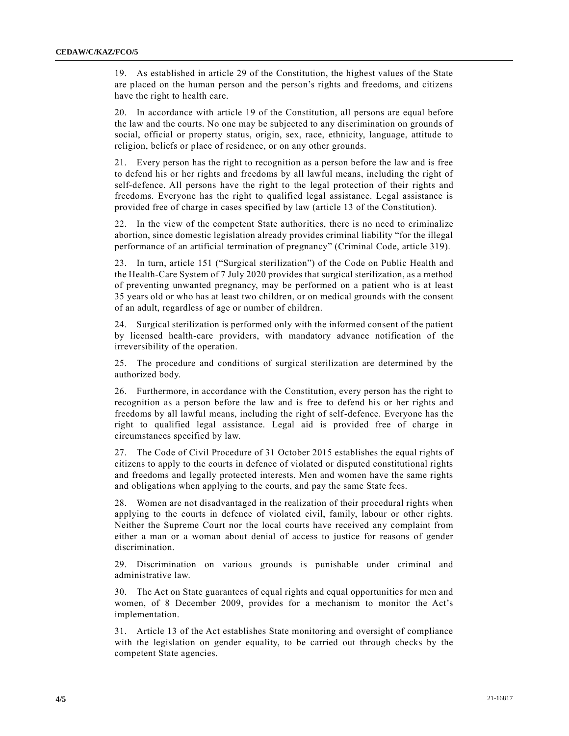19. As established in article 29 of the Constitution, the highest values of the State are placed on the human person and the person's rights and freedoms, and citizens have the right to health care.

20. In accordance with article 19 of the Constitution, all persons are equal before the law and the courts. No one may be subjected to any discrimination on grounds of social, official or property status, origin, sex, race, ethnicity, language, attitude to religion, beliefs or place of residence, or on any other grounds.

21. Every person has the right to recognition as a person before the law and is free to defend his or her rights and freedoms by all lawful means, including the right of self-defence. All persons have the right to the legal protection of their rights and freedoms. Everyone has the right to qualified legal assistance. Legal assistance is provided free of charge in cases specified by law (article 13 of the Constitution).

22. In the view of the competent State authorities, there is no need to criminalize abortion, since domestic legislation already provides criminal liability "for the illegal performance of an artificial termination of pregnancy" (Criminal Code, article 319).

23. In turn, article 151 ("Surgical sterilization") of the Code on Public Health and the Health-Care System of 7 July 2020 provides that surgical sterilization, as a method of preventing unwanted pregnancy, may be performed on a patient who is at least 35 years old or who has at least two children, or on medical grounds with the consent of an adult, regardless of age or number of children.

24. Surgical sterilization is performed only with the informed consent of the patient by licensed health-care providers, with mandatory advance notification of the irreversibility of the operation.

25. The procedure and conditions of surgical sterilization are determined by the authorized body.

26. Furthermore, in accordance with the Constitution, every person has the right to recognition as a person before the law and is free to defend his or her rights and freedoms by all lawful means, including the right of self-defence. Everyone has the right to qualified legal assistance. Legal aid is provided free of charge in circumstances specified by law.

27. The Code of Civil Procedure of 31 October 2015 establishes the equal rights of citizens to apply to the courts in defence of violated or disputed constitutional rights and freedoms and legally protected interests. Men and women have the same rights and obligations when applying to the courts, and pay the same State fees.

28. Women are not disadvantaged in the realization of their procedural rights when applying to the courts in defence of violated civil, family, labour or other rights. Neither the Supreme Court nor the local courts have received any complaint from either a man or a woman about denial of access to justice for reasons of gender discrimination.

29. Discrimination on various grounds is punishable under criminal and administrative law.

30. The Act on State guarantees of equal rights and equal opportunities for men and women, of 8 December 2009, provides for a mechanism to monitor the Act's implementation.

31. Article 13 of the Act establishes State monitoring and oversight of compliance with the legislation on gender equality, to be carried out through checks by the competent State agencies.